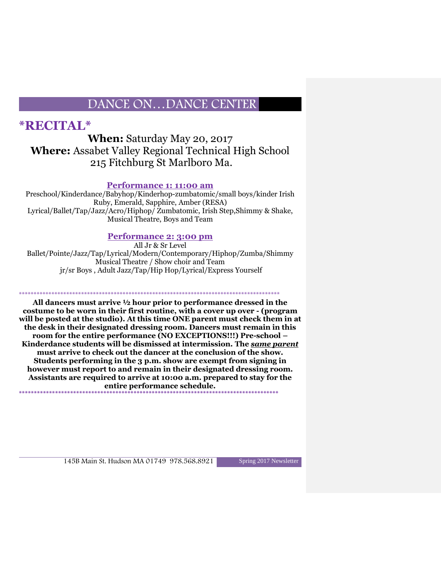## **\*RECITAL\***

#### **When:** Saturday May 20, 2017 **Where:** Assabet Valley Regional Technical High School 215 Fitchburg St Marlboro Ma.

#### **Performance 1: 11:00 am**

Preschool/Kinderdance/Babyhop/Kinderhop-zumbatomic/small boys/kinder Irish Ruby, Emerald, Sapphire, Amber (RESA) Lyrical/Ballet/Tap/Jazz/Acro/Hiphop/ Zumbatomic, Irish Step,Shimmy & Shake, Musical Theatre, Boys and Team

#### **Performance 2: 3:00 pm**

All Jr & Sr Level Ballet/Pointe/Jazz/Tap/Lyrical/Modern/Contemporary/Hiphop/Zumba/Shimmy Musical Theatre / Show choir and Team jr/sr Boys , Adult Jazz/Tap/Hip Hop/Lyrical/Express Yourself

\*\*\*\*\*\*\*\*\*\*\*\*\*\*\*\*\*\*\*\*\*\*\*\*\*\*\*\*\*\*\*\*\*\*\*\*\*\*\*\*\*\*\*\*\*\*\*\*\*\*\*\*\*\*\*\*\*\*\*\*\*\*\*\*\*\*\*\*\*\*\*\*\*\*\*\*\*\*\*\*\*\*\*\*\*\*\*\*

**All dancers must arrive ½ hour prior to performance dressed in the costume to be worn in their first routine, with a cover up over - (program will be posted at the studio). At this time ONE parent must check them in at the desk in their designated dressing room. Dancers must remain in this room for the entire performance (NO EXCEPTIONS!!!) Pre-school – Kinderdance students will be dismissed at intermission. The** *same parent* **must arrive to check out the dancer at the conclusion of the show. Students performing in the 3 p.m. show are exempt from signing in however must report to and remain in their designated dressing room. Assistants are required to arrive at 10:00 a.m. prepared to stay for the entire performance schedule. \*\*\*\*\*\*\*\*\*\*\*\*\*\*\*\*\*\*\*\*\*\*\*\*\*\*\*\*\*\*\*\*\*\*\*\*\*\*\*\*\*\*\*\*\*\*\*\*\*\*\*\*\*\*\*\*\*\*\*\*\*\*\*\*\*\*\*\*\*\*\*\*\*\*\*\*\*\*\*\*\*\*\*\*\*\***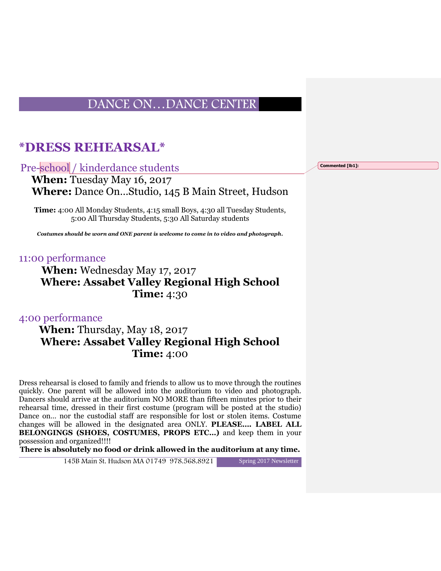## **\*DRESS REHEARSAL\***

Pre-school / kinderdance students

 **When:** Tuesday May 16, 2017 **Where:** Dance On…Studio, 145 B Main Street, Hudson

**Time:** 4:00 All Monday Students, 4:15 small Boys, 4:30 all Tuesday Students, 5:00 All Thursday Students, 5:30 All Saturday students

*Costumes should be worn and ONE parent is welcome to come in to video and photograph.*

#### 11:00 performance

## **When:** Wednesday May 17, 2017 **Where: Assabet Valley Regional High School Time:** 4:30

4:00 performance

#### **When:** Thursday, May 18, 2017 **Where: Assabet Valley Regional High School Time:** 4:00

Dress rehearsal is closed to family and friends to allow us to move through the routines quickly. One parent will be allowed into the auditorium to video and photograph. Dancers should arrive at the auditorium NO MORE than fifteen minutes prior to their rehearsal time, dressed in their first costume (program will be posted at the studio) Dance on… nor the custodial staff are responsible for lost or stolen items. Costume changes will be allowed in the designated area ONLY. **PLEASE…. LABEL ALL BELONGINGS (SHOES, COSTUMES, PROPS ETC…)** and keep them in your possession and organized!!!!

**There is absolutely no food or drink allowed in the auditorium at any time.**

145B Main St. Hudson MA 01749 978.568.8921 Spring 2017 Newsletter

**Commented [lb1]:**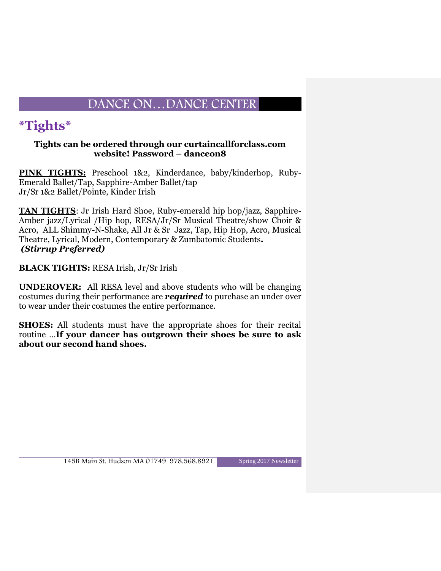# **\*Tights\***

#### **Tights can be ordered through our curtaincallforclass.com website! Password – danceon8**

**PINK TIGHTS:** Preschool 1&2, Kinderdance, baby/kinderhop, Ruby-Emerald Ballet/Tap, Sapphire-Amber Ballet/tap Jr/Sr 1&2 Ballet/Pointe, Kinder Irish

**TAN TIGHTS**: Jr Irish Hard Shoe, Ruby-emerald hip hop/jazz, Sapphire-Amber jazz/Lyrical /Hip hop, RESA/Jr/Sr Musical Theatre/show Choir & Acro, ALL Shimmy-N-Shake, All Jr & Sr Jazz, Tap, Hip Hop, Acro, Musical Theatre, Lyrical, Modern, Contemporary & Zumbatomic Students*. (Stirrup Preferred)*

**BLACK TIGHTS:** RESA Irish, Jr/Sr Irish

**UNDEROVER:** All RESA level and above students who will be changing costumes during their performance are *required* to purchase an under over to wear under their costumes the entire performance.

**SHOES:** All students must have the appropriate shoes for their recital routine …**If your dancer has outgrown their shoes be sure to ask about our second hand shoes.**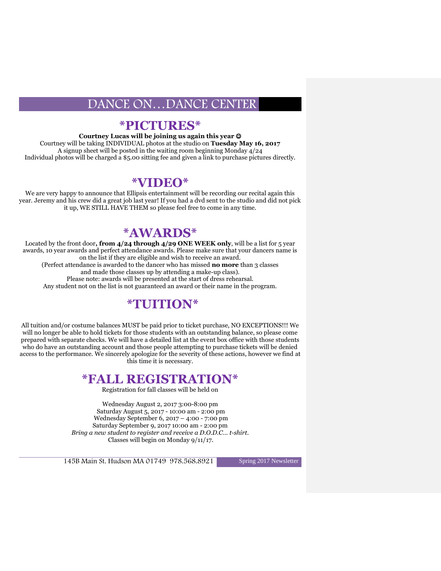#### **\*PICTURES\***

**Courtney Lucas will be joining us again this year** 

Courtney will be taking INDIVIDUAL photos at the studio on **Tuesday May 16, 2017** A signup sheet will be posted in the waiting room beginning Monday 4/24 Individual photos will be charged a \$5.00 sitting fee and given a link to purchase pictures directly.

#### **\*VIDEO\***

We are very happy to announce that Ellipsis entertainment will be recording our recital again this year. Jeremy and his crew did a great job last year! If you had a dvd sent to the studio and did not pick it up, WE STILL HAVE THEM so please feel free to come in any time.

## **\*AWARDS\***

Located by the front door**, from 4/24 through 4/29 ONE WEEK only**, will be a list for 5 year awards, 10 year awards and perfect attendance awards. Please make sure that your dancers name is on the list if they are eligible and wish to receive an award. (Perfect attendance is awarded to the dancer who has missed **no more** than 3 classes and made those classes up by attending a make-up class). Please note: awards will be presented at the start of dress rehearsal. Any student not on the list is not guaranteed an award or their name in the program.

# **\*TUITION\***

All tuition and/or costume balances MUST be paid prior to ticket purchase, NO EXCEPTIONS!!! We will no longer be able to hold tickets for those students with an outstanding balance, so please come prepared with separate checks. We will have a detailed list at the event box office with those students who do have an outstanding account and those people attempting to purchase tickets will be denied access to the performance. We sincerely apologize for the severity of these actions, however we find at this time it is necessary.

## **\*FALL REGISTRATION\***

Registration for fall classes will be held on

Wednesday August 2, 2017 3:00-8:00 pm Saturday August 5, 2017 - 10:00 am - 2:00 pm Wednesday September 6, 2017 – 4:00 - 7:00 pm Saturday September 9, 2017 10:00 am - 2:00 pm *Bring a new student to register and receive a D.O.D.C… t-shirt.* Classes will begin on Monday 9/11/17.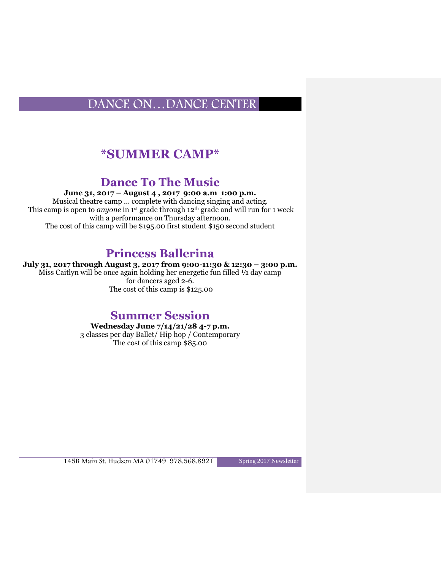# **\*SUMMER CAMP\***

## **Dance To The Music**

**June 31, 2017 – August 4 , 2017 9:00 a.m 1:00 p.m.**

Musical theatre camp ... complete with dancing singing and acting. This camp is open to *anyone* in 1st grade through 12th grade and will run for 1 week with a performance on Thursday afternoon. The cost of this camp will be \$195.00 first student \$150 second student

## **Princess Ballerina**

**July 31, 2017 through August 3, 2017 from 9:00-11:30 & 12:30 – 3:00 p.m.**

Miss Caitlyn will be once again holding her energetic fun filled ½ day camp for dancers aged 2-6. The cost of this camp is \$125.00

## **Summer Session**

**Wednesday June 7/14/21/28 4-7 p.m.**  3 classes per day Ballet/ Hip hop / Contemporary The cost of this camp \$85.00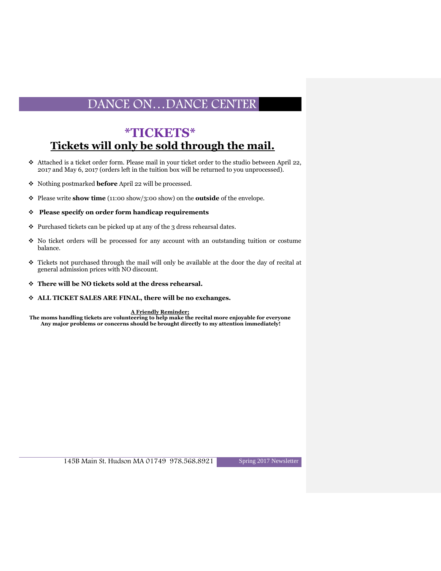## **\*TICKETS\* Tickets will only be sold through the mail.**

- Attached is a ticket order form. Please mail in your ticket order to the studio between April 22, 2017 and May 6, 2017 (orders left in the tuition box will be returned to you unprocessed).
- Nothing postmarked **before** April 22 will be processed.
- Please write **show time** (11:00 show/3:00 show) on the **outside** of the envelope.

#### **Please specify on order form handicap requirements**

- $\div$  Purchased tickets can be picked up at any of the 3 dress rehearsal dates.
- No ticket orders will be processed for any account with an outstanding tuition or costume balance.
- Tickets not purchased through the mail will only be available at the door the day of recital at general admission prices with NO discount.
- **There will be NO tickets sold at the dress rehearsal.**
- **ALL TICKET SALES ARE FINAL, there will be no exchanges.**

**A Friendly Reminder;** 

**The moms handling tickets are volunteering to help make the recital more enjoyable for everyone Any major problems or concerns should be brought directly to my attention immediately!**